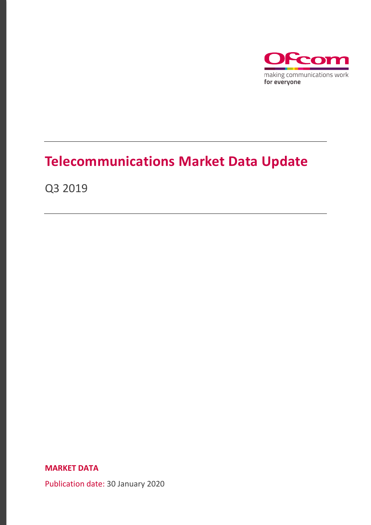

# **Telecommunications Market Data Update**

Q3 2019

**MARKET DATA**

Publication date: 30 January 2020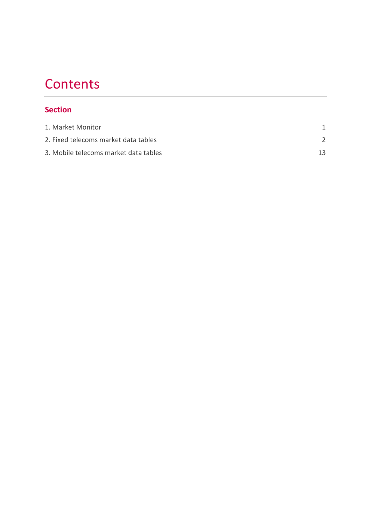# **Contents**

### **Section**

| 1. Market Monitor                     |    |
|---------------------------------------|----|
| 2. Fixed telecoms market data tables  |    |
| 3. Mobile telecoms market data tables | 13 |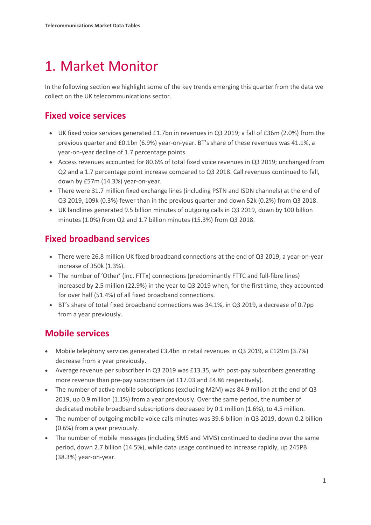# <span id="page-2-0"></span>1. Market Monitor

In the following section we highlight some of the key trends emerging this quarter from the data we collect on the UK telecommunications sector.

## **Fixed voice services**

- UK fixed voice services generated £1.7bn in revenues in Q3 2019; a fall of £36m (2.0%) from the previous quarter and £0.1bn (6.9%) year-on-year. BT's share of these revenues was 41.1%, a year-on-year decline of 1.7 percentage points.
- Access revenues accounted for 80.6% of total fixed voice revenues in Q3 2019; unchanged from Q2 and a 1.7 percentage point increase compared to Q3 2018. Call revenues continued to fall, down by £57m (14.3%) year-on-year.
- There were 31.7 million fixed exchange lines (including PSTN and ISDN channels) at the end of Q3 2019, 109k (0.3%) fewer than in the previous quarter and down 52k (0.2%) from Q3 2018.
- UK landlines generated 9.5 billion minutes of outgoing calls in Q3 2019, down by 100 billion minutes (1.0%) from Q2 and 1.7 billion minutes (15.3%) from Q3 2018.

## **Fixed broadband services**

- There were 26.8 million UK fixed broadband connections at the end of Q3 2019, a year-on-year increase of 350k (1.3%).
- The number of 'Other' (inc. FTTx) connections (predominantly FTTC and full-fibre lines) increased by 2.5 million (22.9%) in the year to Q3 2019 when, for the first time, they accounted for over half (51.4%) of all fixed broadband connections.
- BT's share of total fixed broadband connections was 34.1%, in Q3 2019, a decrease of 0.7pp from a year previously.

## **Mobile services**

- Mobile telephony services generated £3.4bn in retail revenues in Q3 2019, a £129m (3.7%) decrease from a year previously.
- Average revenue per subscriber in Q3 2019 was £13.35, with post-pay subscribers generating more revenue than pre-pay subscribers (at £17.03 and £4.86 respectively).
- The number of active mobile subscriptions (excluding M2M) was 84.9 million at the end of Q3 2019, up 0.9 million (1.1%) from a year previously. Over the same period, the number of dedicated mobile broadband subscriptions decreased by 0.1 million (1.6%), to 4.5 million.
- The number of outgoing mobile voice calls minutes was 39.6 billion in Q3 2019, down 0.2 billion (0.6%) from a year previously.
- The number of mobile messages (including SMS and MMS) continued to decline over the same period, down 2.7 billion (14.5%), while data usage continued to increase rapidly, up 245PB (38.3%) year-on-year.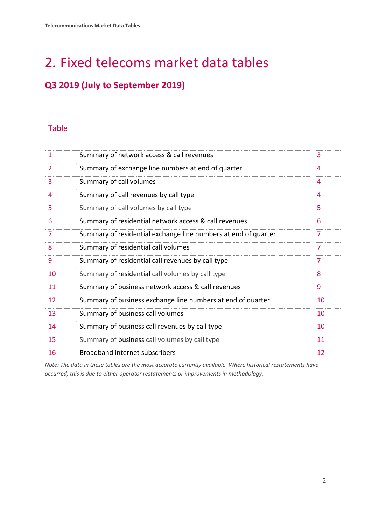# <span id="page-3-0"></span>2. Fixed telecoms market data tables

## **Q3 2019 (July to September 2019)**

### Table

| 1  | Summary of network access & call revenues                      | 3  |
|----|----------------------------------------------------------------|----|
| 2  | Summary of exchange line numbers at end of quarter             | 4  |
| 3  | Summary of call volumes                                        | 4  |
| 4  | Summary of call revenues by call type                          | 4  |
| 5  | Summary of call volumes by call type                           | 5  |
| 6  | Summary of residential network access & call revenues          | 6  |
| 7  | Summary of residential exchange line numbers at end of quarter | 7  |
| 8  | Summary of residential call volumes                            | 7  |
| 9  | Summary of residential call revenues by call type              | 7  |
| 10 | Summary of residential call volumes by call type               | 8  |
| 11 | Summary of business network access & call revenues             | 9  |
| 12 | Summary of business exchange line numbers at end of quarter    | 10 |
| 13 | Summary of business call volumes                               | 10 |
| 14 | Summary of business call revenues by call type                 | 10 |
| 15 | Summary of business call volumes by call type                  | 11 |
| 16 | Broadband internet subscribers                                 | 12 |

*Note: The data in these tables are the most accurate currently available. Where historical restatements have occurred, this is due to either operator restatements or improvements in methodology.*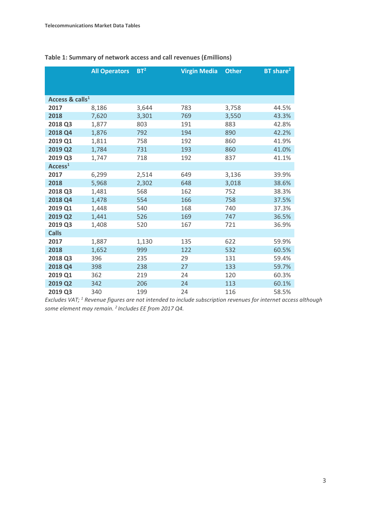|                             | <b>All Operators</b> | BT <sup>2</sup> | <b>Virgin Media</b> | <b>Other</b> | BT share <sup>2</sup> |
|-----------------------------|----------------------|-----------------|---------------------|--------------|-----------------------|
|                             |                      |                 |                     |              |                       |
|                             |                      |                 |                     |              |                       |
| Access & calls <sup>1</sup> |                      |                 |                     |              |                       |
| 2017                        | 8,186                | 3,644           | 783                 | 3,758        | 44.5%                 |
| 2018                        | 7,620                | 3,301           | 769                 | 3,550        | 43.3%                 |
| 2018 Q3                     | 1,877                | 803             | 191                 | 883          | 42.8%                 |
| 2018 Q4                     | 1,876                | 792             | 194                 | 890          | 42.2%                 |
| 2019 Q1                     | 1,811                | 758             | 192                 | 860          | 41.9%                 |
| 2019 Q2                     | 1,784                | 731             | 193                 | 860          | 41.0%                 |
| 2019 Q3                     | 1,747                | 718             | 192                 | 837          | 41.1%                 |
| Access <sup>1</sup>         |                      |                 |                     |              |                       |
| 2017                        | 6,299                | 2,514           | 649                 | 3,136        | 39.9%                 |
| 2018                        | 5,968                | 2,302           | 648                 | 3,018        | 38.6%                 |
| 2018 Q3                     | 1,481                | 568             | 162                 | 752          | 38.3%                 |
| 2018 Q4                     | 1,478                | 554             | 166                 | 758          | 37.5%                 |
| 2019 Q1                     | 1,448                | 540             | 168                 | 740          | 37.3%                 |
| 2019 Q2                     | 1,441                | 526             | 169                 | 747          | 36.5%                 |
| 2019 Q3                     | 1,408                | 520             | 167                 | 721          | 36.9%                 |
| <b>Calls</b>                |                      |                 |                     |              |                       |
| 2017                        | 1,887                | 1,130           | 135                 | 622          | 59.9%                 |
| 2018                        | 1,652                | 999             | 122                 | 532          | 60.5%                 |
| 2018 Q3                     | 396                  | 235             | 29                  | 131          | 59.4%                 |
| 2018 Q4                     | 398                  | 238             | 27                  | 133          | 59.7%                 |
| 2019 Q1                     | 362                  | 219             | 24                  | 120          | 60.3%                 |
| 2019 Q2                     | 342                  | 206             | 24                  | 113          | 60.1%                 |
| 2019 Q3                     | 340                  | 199             | 24                  | 116          | 58.5%                 |

### **Table 1: Summary of network access and call revenues (£millions)**

*Excludes VAT; 1 Revenue figures are not intended to include subscription revenues for internet access although some element may remain. 2 Includes EE from 2017 Q4.*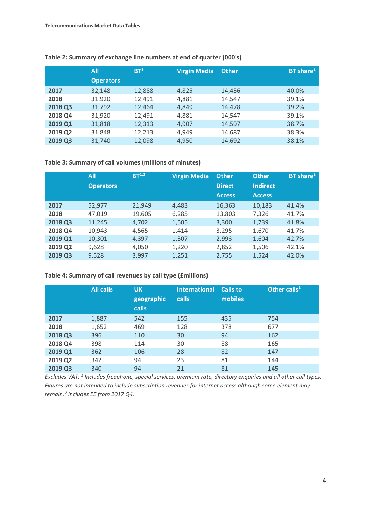|         | All              | BT <sup>2</sup> | <b>Virgin Media</b> | <b>Other</b> | BT share <sup>2</sup> |
|---------|------------------|-----------------|---------------------|--------------|-----------------------|
|         | <b>Operators</b> |                 |                     |              |                       |
| 2017    | 32,148           | 12,888          | 4,825               | 14,436       | 40.0%                 |
| 2018    | 31,920           | 12,491          | 4,881               | 14,547       | 39.1%                 |
| 2018 Q3 | 31,792           | 12,464          | 4,849               | 14,478       | 39.2%                 |
| 2018 Q4 | 31,920           | 12,491          | 4,881               | 14,547       | 39.1%                 |
| 2019 Q1 | 31,818           | 12,313          | 4,907               | 14,597       | 38.7%                 |
| 2019 Q2 | 31,848           | 12,213          | 4,949               | 14,687       | 38.3%                 |
| 2019 Q3 | 31.740           | 12,098          | 4,950               | 14,692       | 38.1%                 |

#### **Table 2: Summary of exchange line numbers at end of quarter (000's)**

**Table 3: Summary of call volumes (millions of minutes)**

|         | All              | BT <sup>1,2</sup> | <b>Virgin Media</b> | <b>Other</b>  | <b>Other</b>    | BT share <sup>2</sup> |
|---------|------------------|-------------------|---------------------|---------------|-----------------|-----------------------|
|         | <b>Operators</b> |                   |                     | <b>Direct</b> | <b>Indirect</b> |                       |
|         |                  |                   |                     | <b>Access</b> | <b>Access</b>   |                       |
| 2017    | 52,977           | 21,949            | 4,483               | 16,363        | 10,183          | 41.4%                 |
| 2018    | 47,019           | 19,605            | 6,285               | 13,803        | 7,326           | 41.7%                 |
| 2018 Q3 | 11,245           | 4,702             | 1,505               | 3,300         | 1,739           | 41.8%                 |
| 2018 Q4 | 10,943           | 4,565             | 1,414               | 3,295         | 1,670           | 41.7%                 |
| 2019 Q1 | 10,301           | 4,397             | 1,307               | 2,993         | 1,604           | 42.7%                 |
| 2019 Q2 | 9,628            | 4,050             | 1,220               | 2,852         | 1,506           | 42.1%                 |
| 2019 Q3 | 9,528            | 3,997             | 1,251               | 2,755         | 1,524           | 42.0%                 |

**Table 4: Summary of call revenues by call type (£millions)**

|         | <b>All calls</b> | <b>UK</b><br>geographic<br><b>calls</b> | <b>International</b><br><b>calls</b> | Calls to<br>mobiles | Other calls $1$ |
|---------|------------------|-----------------------------------------|--------------------------------------|---------------------|-----------------|
| 2017    | 1,887            | 542                                     | 155                                  | 435                 | 754             |
| 2018    | 1,652            | 469                                     | 128                                  | 378                 | 677             |
| 2018 Q3 | 396              | 110                                     | 30                                   | 94                  | 162             |
| 2018 Q4 | 398              | 114                                     | 30                                   | 88                  | 165             |
| 2019 Q1 | 362              | 106                                     | 28                                   | 82                  | 147             |
| 2019 Q2 | 342              | 94                                      | 23                                   | 81                  | 144             |
| 2019 Q3 | 340              | 94                                      | 21                                   | 81                  | 145             |

*Excludes VAT; 1 Includes freephone, special services, premium rate, directory enquiries and all other call types. Figures are not intended to include subscription revenues for internet access although some element may remain. 2 Includes EE from 2017 Q4.*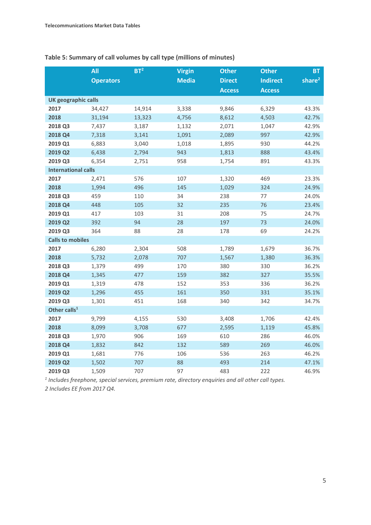|                            | All              | BT <sup>2</sup> | <b>Virgin</b> | <b>Other</b>  | <b>Other</b>    | <b>BT</b>          |
|----------------------------|------------------|-----------------|---------------|---------------|-----------------|--------------------|
|                            | <b>Operators</b> |                 | <b>Media</b>  | <b>Direct</b> | <b>Indirect</b> | share <sup>2</sup> |
|                            |                  |                 |               | <b>Access</b> | <b>Access</b>   |                    |
| <b>UK geographic calls</b> |                  |                 |               |               |                 |                    |
| 2017                       | 34,427           | 14,914          | 3,338         | 9,846         | 6,329           | 43.3%              |
| 2018                       | 31,194           | 13,323          | 4,756         | 8,612         | 4,503           | 42.7%              |
| 2018 Q3                    | 7,437            | 3,187           | 1,132         | 2,071         | 1,047           | 42.9%              |
| 2018 Q4                    | 7,318            | 3,141           | 1,091         | 2,089         | 997             | 42.9%              |
| 2019 Q1                    | 6,883            | 3,040           | 1,018         | 1,895         | 930             | 44.2%              |
| 2019 Q2                    | 6,438            | 2,794           | 943           | 1,813         | 888             | 43.4%              |
| 2019 Q3                    | 6,354            | 2,751           | 958           | 1,754         | 891             | 43.3%              |
| <b>International calls</b> |                  |                 |               |               |                 |                    |
| 2017                       | 2,471            | 576             | 107           | 1,320         | 469             | 23.3%              |
| 2018                       | 1,994            | 496             | 145           | 1,029         | 324             | 24.9%              |
| 2018 Q3                    | 459              | 110             | 34            | 238           | 77              | 24.0%              |
| 2018 Q4                    | 448              | 105             | 32            | 235           | 76              | 23.4%              |
| 2019 Q1                    | 417              | 103             | 31            | 208           | 75              | 24.7%              |
| 2019 Q2                    | 392              | 94              | 28            | 197           | 73              | 24.0%              |
| 2019 Q3                    | 364              | 88              | 28            | 178           | 69              | 24.2%              |
| <b>Calls to mobiles</b>    |                  |                 |               |               |                 |                    |
| 2017                       | 6,280            | 2,304           | 508           | 1,789         | 1,679           | 36.7%              |
| 2018                       | 5,732            | 2,078           | 707           | 1,567         | 1,380           | 36.3%              |
| 2018 Q3                    | 1,379            | 499             | 170           | 380           | 330             | 36.2%              |
| 2018 Q4                    | 1,345            | 477             | 159           | 382           | 327             | 35.5%              |
| 2019 Q1                    | 1,319            | 478             | 152           | 353           | 336             | 36.2%              |
| 2019 Q2                    | 1,296            | 455             | 161           | 350           | 331             | 35.1%              |
| 2019 Q3                    | 1,301            | 451             | 168           | 340           | 342             | 34.7%              |
| Other calls <sup>1</sup>   |                  |                 |               |               |                 |                    |
| 2017                       | 9,799            | 4,155           | 530           | 3,408         | 1,706           | 42.4%              |
| 2018                       | 8,099            | 3,708           | 677           | 2,595         | 1,119           | 45.8%              |
| 2018 Q3                    | 1,970            | 906             | 169           | 610           | 286             | 46.0%              |
| 2018 Q4                    | 1,832            | 842             | 132           | 589           | 269             | 46.0%              |
| 2019 Q1                    | 1,681            | 776             | 106           | 536           | 263             | 46.2%              |
| 2019 Q2                    | 1,502            | 707             | 88            | 493           | 214             | 47.1%              |
| 2019 Q3                    | 1,509            | 707             | 97            | 483           | 222             | 46.9%              |

*<sup>1</sup> Includes freephone, special services, premium rate, directory enquiries and all other call types. 2 Includes EE from 2017 Q4.*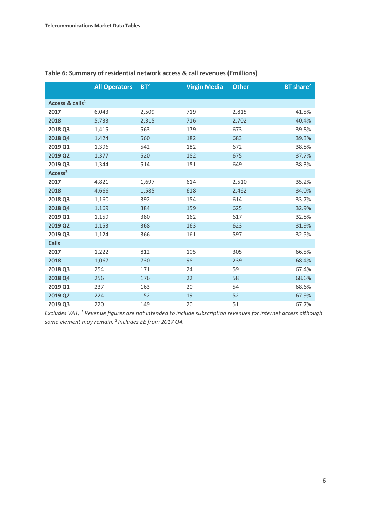|                             | <b>All Operators</b> | BT <sup>2</sup> | <b>Virgin Media</b> | <b>Other</b> | BT share <sup>2</sup> |
|-----------------------------|----------------------|-----------------|---------------------|--------------|-----------------------|
| Access & calls <sup>1</sup> |                      |                 |                     |              |                       |
| 2017                        | 6,043                | 2,509           | 719                 | 2,815        | 41.5%                 |
| 2018                        | 5,733                | 2,315           | 716                 | 2,702        | 40.4%                 |
| 2018 Q3                     | 1,415                | 563             | 179                 | 673          | 39.8%                 |
| 2018 Q4                     | 1,424                | 560             | 182                 | 683          | 39.3%                 |
| 2019 Q1                     | 1,396                | 542             | 182                 | 672          | 38.8%                 |
| 2019 Q2                     | 1,377                | 520             | 182                 | 675          | 37.7%                 |
| 2019 Q3                     | 1,344                | 514             | 181                 | 649          | 38.3%                 |
| Access <sup>2</sup>         |                      |                 |                     |              |                       |
| 2017                        | 4,821                | 1,697           | 614                 | 2,510        | 35.2%                 |
| 2018                        | 4,666                | 1,585           | 618                 | 2,462        | 34.0%                 |
| 2018 Q3                     | 1,160                | 392             | 154                 | 614          | 33.7%                 |
| 2018 Q4                     | 1,169                | 384             | 159                 | 625          | 32.9%                 |
| 2019 Q1                     | 1,159                | 380             | 162                 | 617          | 32.8%                 |
| 2019 Q2                     | 1,153                | 368             | 163                 | 623          | 31.9%                 |
| 2019 Q3                     | 1,124                | 366             | 161                 | 597          | 32.5%                 |
| <b>Calls</b>                |                      |                 |                     |              |                       |
| 2017                        | 1,222                | 812             | 105                 | 305          | 66.5%                 |
| 2018                        | 1,067                | 730             | 98                  | 239          | 68.4%                 |
| 2018 Q3                     | 254                  | 171             | 24                  | 59           | 67.4%                 |
| 2018 Q4                     | 256                  | 176             | 22                  | 58           | 68.6%                 |
| 2019 Q1                     | 237                  | 163             | 20                  | 54           | 68.6%                 |
| 2019 Q2                     | 224                  | 152             | 19                  | 52           | 67.9%                 |
| 2019 Q3                     | 220                  | 149             | 20                  | 51           | 67.7%                 |

#### **Table 6: Summary of residential network access & call revenues (£millions)**

*Excludes VAT; 1 Revenue figures are not intended to include subscription revenues for internet access although some element may remain. 2 Includes EE from 2017 Q4.*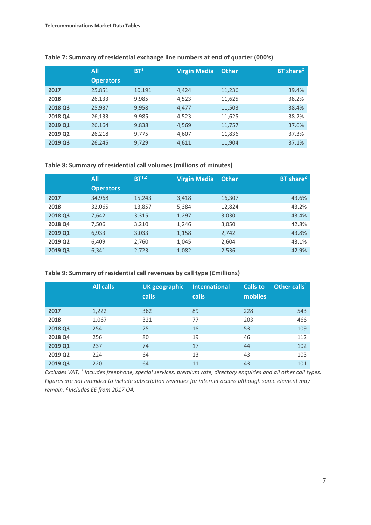|         | <b>All</b>       | BT <sup>2</sup> | <b>Virgin Media</b> | <b>Other</b> | BT share <sup>2</sup> |
|---------|------------------|-----------------|---------------------|--------------|-----------------------|
|         | <b>Operators</b> |                 |                     |              |                       |
| 2017    | 25,851           | 10,191          | 4,424               | 11,236       | 39.4%                 |
| 2018    | 26,133           | 9,985           | 4,523               | 11,625       | 38.2%                 |
| 2018 Q3 | 25,937           | 9,958           | 4,477               | 11,503       | 38.4%                 |
| 2018 Q4 | 26,133           | 9,985           | 4,523               | 11,625       | 38.2%                 |
| 2019 Q1 | 26,164           | 9,838           | 4,569               | 11,757       | 37.6%                 |
| 2019 Q2 | 26,218           | 9,775           | 4,607               | 11,836       | 37.3%                 |
| 2019 Q3 | 26,245           | 9,729           | 4,611               | 11,904       | 37.1%                 |

#### **Table 7: Summary of residential exchange line numbers at end of quarter (000's)**

**Table 8: Summary of residential call volumes (millions of minutes)**

|         | All              | $BT^{1,2}$ | <b>Virgin Media</b> | <b>Other</b> | BT share <sup>2</sup> |
|---------|------------------|------------|---------------------|--------------|-----------------------|
|         | <b>Operators</b> |            |                     |              |                       |
| 2017    | 34,968           | 15,243     | 3,418               | 16,307       | 43.6%                 |
| 2018    | 32,065           | 13,857     | 5,384               | 12,824       | 43.2%                 |
| 2018 Q3 | 7,642            | 3,315      | 1,297               | 3,030        | 43.4%                 |
| 2018 Q4 | 7,506            | 3,210      | 1,246               | 3,050        | 42.8%                 |
| 2019 Q1 | 6,933            | 3,033      | 1,158               | 2,742        | 43.8%                 |
| 2019 Q2 | 6,409            | 2,760      | 1,045               | 2,604        | 43.1%                 |
| 2019 Q3 | 6,341            | 2,723      | 1,082               | 2,536        | 42.9%                 |

#### **Table 9: Summary of residential call revenues by call type (£millions)**

|         | <b>All calls</b> | <b>UK geographic</b><br>calls | <b>International</b><br>calls | <b>Calls to</b><br>mobiles | Other calls <sup>1</sup> |
|---------|------------------|-------------------------------|-------------------------------|----------------------------|--------------------------|
| 2017    | 1,222            | 362                           | 89                            | 228                        | 543                      |
| 2018    | 1,067            | 321                           | 77                            | 203                        | 466                      |
| 2018 Q3 | 254              | 75                            | 18                            | 53                         | 109                      |
| 2018 Q4 | 256              | 80                            | 19                            | 46                         | 112                      |
| 2019 Q1 | 237              | 74                            | 17                            | 44                         | 102                      |
| 2019 Q2 | 224              | 64                            | 13                            | 43                         | 103                      |
| 2019 Q3 | 220              | 64                            | 11                            | 43                         | 101                      |

*Excludes VAT; 1 Includes freephone, special services, premium rate, directory enquiries and all other call types. Figures are not intended to include subscription revenues for internet access although some element may remain. 2 Includes EE from 2017 Q4.*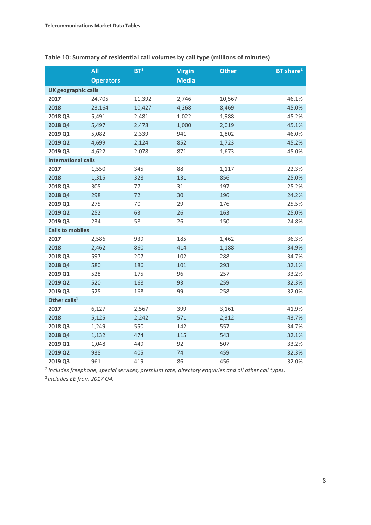|                            | <b>All</b>       | BT <sup>2</sup> | <b>Virgin</b> | <b>Other</b> | BT share <sup>2</sup> |
|----------------------------|------------------|-----------------|---------------|--------------|-----------------------|
|                            | <b>Operators</b> |                 | <b>Media</b>  |              |                       |
| <b>UK geographic calls</b> |                  |                 |               |              |                       |
| 2017                       | 24,705           | 11,392          | 2,746         | 10,567       | 46.1%                 |
| 2018                       | 23,164           | 10,427          | 4,268         | 8,469        | 45.0%                 |
| 2018 Q3                    | 5,491            | 2,481           | 1,022         | 1,988        | 45.2%                 |
| 2018 Q4                    | 5,497            | 2,478           | 1,000         | 2,019        | 45.1%                 |
| 2019 Q1                    | 5,082            | 2,339           | 941           | 1,802        | 46.0%                 |
| 2019 Q2                    | 4,699            | 2,124           | 852           | 1,723        | 45.2%                 |
| 2019 Q3                    | 4,622            | 2,078           | 871           | 1,673        | 45.0%                 |
| <b>International calls</b> |                  |                 |               |              |                       |
| 2017                       | 1,550            | 345             | 88            | 1,117        | 22.3%                 |
| 2018                       | 1,315            | 328             | 131           | 856          | 25.0%                 |
| 2018 Q3                    | 305              | 77              | 31            | 197          | 25.2%                 |
| 2018 Q4                    | 298              | 72              | 30            | 196          | 24.2%                 |
| 2019 Q1                    | 275              | 70              | 29            | 176          | 25.5%                 |
| 2019 Q2                    | 252              | 63              | 26            | 163          | 25.0%                 |
| 2019 Q3                    | 234              | 58              | 26            | 150          | 24.8%                 |
| <b>Calls to mobiles</b>    |                  |                 |               |              |                       |
| 2017                       | 2,586            | 939             | 185           | 1,462        | 36.3%                 |
| 2018                       | 2,462            | 860             | 414           | 1,188        | 34.9%                 |
| 2018 Q3                    | 597              | 207             | 102           | 288          | 34.7%                 |
| 2018 Q4                    | 580              | 186             | 101           | 293          | 32.1%                 |
| 2019 Q1                    | 528              | 175             | 96            | 257          | 33.2%                 |
| 2019 Q2                    | 520              | 168             | 93            | 259          | 32.3%                 |
| 2019 Q3                    | 525              | 168             | 99            | 258          | 32.0%                 |
| Other calls <sup>1</sup>   |                  |                 |               |              |                       |
| 2017                       | 6,127            | 2,567           | 399           | 3,161        | 41.9%                 |
| 2018                       | 5,125            | 2,242           | 571           | 2,312        | 43.7%                 |
| 2018 Q3                    | 1,249            | 550             | 142           | 557          | 34.7%                 |
| 2018 Q4                    | 1,132            | 474             | 115           | 543          | 32.1%                 |
| 2019 Q1                    | 1,048            | 449             | 92            | 507          | 33.2%                 |
| 2019 Q2                    | 938              | 405             | 74            | 459          | 32.3%                 |
| 2019 Q3                    | 961              | 419             | 86            | 456          | 32.0%                 |

### **Table 10: Summary of residential call volumes by call type (millions of minutes)**

*<sup>1</sup> Includes freephone, special services, premium rate, directory enquiries and all other call types.*

*2 Includes EE from 2017 Q4.*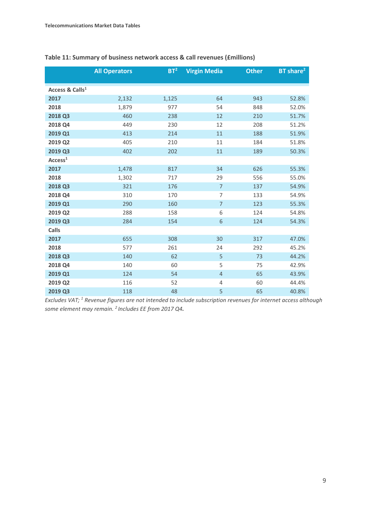|                             | <b>All Operators</b> | BT <sup>2</sup> | <b>Virgin Media</b> | <b>Other</b> | BT share <sup>2</sup> |
|-----------------------------|----------------------|-----------------|---------------------|--------------|-----------------------|
|                             |                      |                 |                     |              |                       |
| Access & Calls <sup>1</sup> |                      |                 |                     |              |                       |
| 2017                        | 2,132                | 1,125           | 64                  | 943          | 52.8%                 |
| 2018                        | 1,879                | 977             | 54                  | 848          | 52.0%                 |
| 2018 Q3                     | 460                  | 238             | 12                  | 210          | 51.7%                 |
| 2018 Q4                     | 449                  | 230             | 12                  | 208          | 51.2%                 |
| 2019 Q1                     | 413                  | 214             | 11                  | 188          | 51.9%                 |
| 2019 Q2                     | 405                  | 210             | 11                  | 184          | 51.8%                 |
| 2019 Q3                     | 402                  | 202             | 11                  | 189          | 50.3%                 |
| Access <sup>1</sup>         |                      |                 |                     |              |                       |
| 2017                        | 1,478                | 817             | 34                  | 626          | 55.3%                 |
| 2018                        | 1,302                | 717             | 29                  | 556          | 55.0%                 |
| 2018 Q3                     | 321                  | 176             | $\overline{7}$      | 137          | 54.9%                 |
| 2018 Q4                     | 310                  | 170             | $\overline{7}$      | 133          | 54.9%                 |
| 2019 Q1                     | 290                  | 160             | $\overline{7}$      | 123          | 55.3%                 |
| 2019 Q2                     | 288                  | 158             | 6                   | 124          | 54.8%                 |
| 2019 Q3                     | 284                  | 154             | 6                   | 124          | 54.3%                 |
| <b>Calls</b>                |                      |                 |                     |              |                       |
| 2017                        | 655                  | 308             | 30                  | 317          | 47.0%                 |
| 2018                        | 577                  | 261             | 24                  | 292          | 45.2%                 |
| 2018 Q3                     | 140                  | 62              | 5                   | 73           | 44.2%                 |
| 2018 Q4                     | 140                  | 60              | 5                   | 75           | 42.9%                 |
| 2019 Q1                     | 124                  | 54              | $\overline{4}$      | 65           | 43.9%                 |
| 2019 Q2                     | 116                  | 52              | 4                   | 60           | 44.4%                 |
| 2019 Q3                     | 118                  | 48              | 5                   | 65           | 40.8%                 |

#### **Table 11: Summary of business network access & call revenues (£millions)**

*Excludes VAT; 1 Revenue figures are not intended to include subscription revenues for internet access although some element may remain. 2 Includes EE from 2017 Q4.*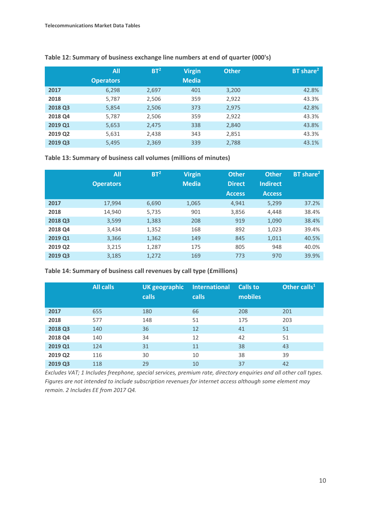|         | All              | BT <sup>2</sup> | <b>Virgin</b> | <b>Other</b> | BT share <sup>2</sup> |
|---------|------------------|-----------------|---------------|--------------|-----------------------|
|         | <b>Operators</b> |                 | <b>Media</b>  |              |                       |
| 2017    | 6,298            | 2,697           | 401           | 3,200        | 42.8%                 |
| 2018    | 5,787            | 2,506           | 359           | 2,922        | 43.3%                 |
| 2018 Q3 | 5,854            | 2,506           | 373           | 2,975        | 42.8%                 |
| 2018 Q4 | 5,787            | 2,506           | 359           | 2,922        | 43.3%                 |
| 2019 Q1 | 5,653            | 2,475           | 338           | 2,840        | 43.8%                 |
| 2019 Q2 | 5,631            | 2,438           | 343           | 2,851        | 43.3%                 |
| 2019 Q3 | 5,495            | 2,369           | 339           | 2,788        | 43.1%                 |

**Table 12: Summary of business exchange line numbers at end of quarter (000's)**

**Table 13: Summary of business call volumes (millions of minutes)**

|         | <b>All</b>       | BT <sup>2</sup> | <b>Virgin</b> | <b>Other</b>  | <b>Other</b>    | BT share <sup>2</sup> |
|---------|------------------|-----------------|---------------|---------------|-----------------|-----------------------|
|         | <b>Operators</b> |                 | <b>Media</b>  | <b>Direct</b> | <b>Indirect</b> |                       |
|         |                  |                 |               | <b>Access</b> | <b>Access</b>   |                       |
| 2017    | 17,994           | 6,690           | 1,065         | 4,941         | 5,299           | 37.2%                 |
| 2018    | 14,940           | 5,735           | 901           | 3,856         | 4,448           | 38.4%                 |
| 2018 Q3 | 3,599            | 1,383           | 208           | 919           | 1,090           | 38.4%                 |
| 2018 Q4 | 3,434            | 1,352           | 168           | 892           | 1,023           | 39.4%                 |
| 2019 Q1 | 3,366            | 1,362           | 149           | 845           | 1,011           | 40.5%                 |
| 2019 Q2 | 3,215            | 1,287           | 175           | 805           | 948             | 40.0%                 |
| 2019 Q3 | 3,185            | 1,272           | 169           | 773           | 970             | 39.9%                 |

**Table 14: Summary of business call revenues by call type (£millions)**

|         | <b>All calls</b> | <b>UK geographic</b><br><b>calls</b> | <b>International</b><br>calls | <b>Calls to</b><br>mobiles | Other calls <sup>11</sup> |
|---------|------------------|--------------------------------------|-------------------------------|----------------------------|---------------------------|
| 2017    | 655              | 180                                  | 66                            | 208                        | 201                       |
| 2018    | 577              | 148                                  | 51                            | 175                        | 203                       |
| 2018 Q3 | 140              | 36                                   | 12                            | 41                         | 51                        |
| 2018 Q4 | 140              | 34                                   | 12                            | 42                         | 51                        |
| 2019 Q1 | 124              | 31                                   | 11                            | 38                         | 43                        |
| 2019 Q2 | 116              | 30                                   | 10                            | 38                         | 39                        |
| 2019 Q3 | 118              | 29                                   | 10                            | 37                         | 42                        |

*Excludes VAT; 1 Includes freephone, special services, premium rate, directory enquiries and all other call types. Figures are not intended to include subscription revenues for internet access although some element may remain. 2 Includes EE from 2017 Q4.*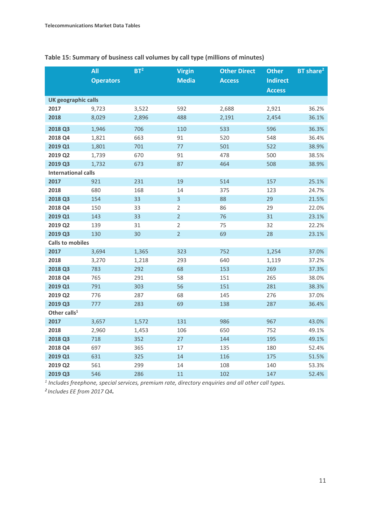|                            | All              | BT <sup>2</sup> | <b>Virgin</b>  | <b>Other Direct</b> | <b>Other</b>    | BT share <sup>2</sup> |
|----------------------------|------------------|-----------------|----------------|---------------------|-----------------|-----------------------|
|                            | <b>Operators</b> |                 | <b>Media</b>   | <b>Access</b>       | <b>Indirect</b> |                       |
|                            |                  |                 |                |                     | <b>Access</b>   |                       |
| <b>UK geographic calls</b> |                  |                 |                |                     |                 |                       |
| 2017                       | 9,723            | 3,522           | 592            | 2,688               | 2,921           | 36.2%                 |
| 2018                       | 8,029            | 2,896           | 488            | 2,191               | 2,454           | 36.1%                 |
| 2018 Q3                    | 1,946            | 706             | 110            | 533                 | 596             | 36.3%                 |
| 2018 Q4                    | 1,821            | 663             | 91             | 520                 | 548             | 36.4%                 |
| 2019 Q1                    | 1,801            | 701             | 77             | 501                 | 522             | 38.9%                 |
| 2019 Q2                    | 1,739            | 670             | 91             | 478                 | 500             | 38.5%                 |
| 2019 Q3                    | 1,732            | 673             | 87             | 464                 | 508             | 38.9%                 |
| <b>International calls</b> |                  |                 |                |                     |                 |                       |
| 2017                       | 921              | 231             | 19             | 514                 | 157             | 25.1%                 |
| 2018                       | 680              | 168             | 14             | 375                 | 123             | 24.7%                 |
| 2018 Q3                    | 154              | 33              | 3              | 88                  | 29              | 21.5%                 |
| 2018 Q4                    | 150              | 33              | $\overline{2}$ | 86                  | 29              | 22.0%                 |
| 2019 Q1                    | 143              | 33              | $\overline{2}$ | 76                  | 31              | 23.1%                 |
| 2019 Q2                    | 139              | 31              | $\sqrt{2}$     | 75                  | 32              | 22.2%                 |
| 2019 Q3                    | 130              | 30              | $\overline{2}$ | 69                  | 28              | 23.1%                 |
| <b>Calls to mobiles</b>    |                  |                 |                |                     |                 |                       |
| 2017                       | 3,694            | 1,365           | 323            | 752                 | 1,254           | 37.0%                 |
| 2018                       | 3,270            | 1,218           | 293            | 640                 | 1,119           | 37.2%                 |
| 2018 Q3                    | 783              | 292             | 68             | 153                 | 269             | 37.3%                 |
| 2018 Q4                    | 765              | 291             | 58             | 151                 | 265             | 38.0%                 |
| 2019 Q1                    | 791              | 303             | 56             | 151                 | 281             | 38.3%                 |
| 2019 Q2                    | 776              | 287             | 68             | 145                 | 276             | 37.0%                 |
| 2019 Q3                    | 777              | 283             | 69             | 138                 | 287             | 36.4%                 |
| Other calls <sup>1</sup>   |                  |                 |                |                     |                 |                       |
| 2017                       | 3,657            | 1,572           | 131            | 986                 | 967             | 43.0%                 |
| 2018                       | 2,960            | 1,453           | 106            | 650                 | 752             | 49.1%                 |
| 2018 Q3                    | 718              | 352             | 27             | 144                 | 195             | 49.1%                 |
| 2018 Q4                    | 697              | 365             | 17             | 135                 | 180             | 52.4%                 |
| 2019 Q1                    | 631              | 325             | 14             | 116                 | 175             | 51.5%                 |
| 2019 Q2                    | 561              | 299             | 14             | 108                 | 140             | 53.3%                 |
| 2019 Q3                    | 546              | 286             | 11             | 102                 | 147             | 52.4%                 |

**Table 15: Summary of business call volumes by call type (millions of minutes)**

*1 Includes freephone, special services, premium rate, directory enquiries and all other call types.* 

*2 Includes EE from 2017 Q4.*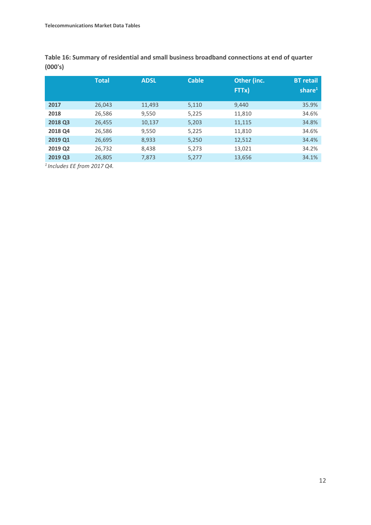**Table 16: Summary of residential and small business broadband connections at end of quarter (000's)**

|         | Total  | <b>ADSL</b> | <b>Cable</b> | Other (inc.<br>FTTx) | <b>BT</b> retail<br>share $1$ |
|---------|--------|-------------|--------------|----------------------|-------------------------------|
| 2017    | 26,043 | 11,493      | 5,110        | 9,440                | 35.9%                         |
| 2018    | 26,586 | 9,550       | 5,225        | 11,810               | 34.6%                         |
| 2018 Q3 | 26,455 | 10,137      | 5,203        | 11,115               | 34.8%                         |
| 2018 Q4 | 26,586 | 9,550       | 5,225        | 11,810               | 34.6%                         |
| 2019 Q1 | 26,695 | 8,933       | 5,250        | 12,512               | 34.4%                         |
| 2019 Q2 | 26,732 | 8,438       | 5,273        | 13,021               | 34.2%                         |
| 2019 Q3 | 26,805 | 7,873       | 5,277        | 13,656               | 34.1%                         |
|         |        |             |              |                      |                               |

*1 Includes EE from 2017 Q4.*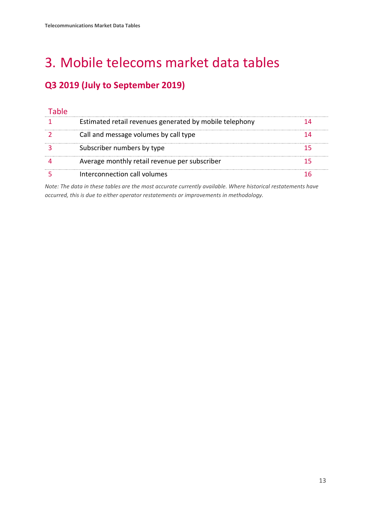# <span id="page-14-0"></span>3. Mobile telecoms market data tables

## **Q3 2019 (July to September 2019)**

| Estimated retail revenues generated by mobile telephony |  |
|---------------------------------------------------------|--|
| Call and message volumes by call type                   |  |
| Subscriber numbers by type                              |  |
| Average monthly retail revenue per subscriber           |  |
| Interconnection call volumes                            |  |

*Note: The data in these tables are the most accurate currently available. Where historical restatements have occurred, this is due to either operator restatements or improvements in methodology.*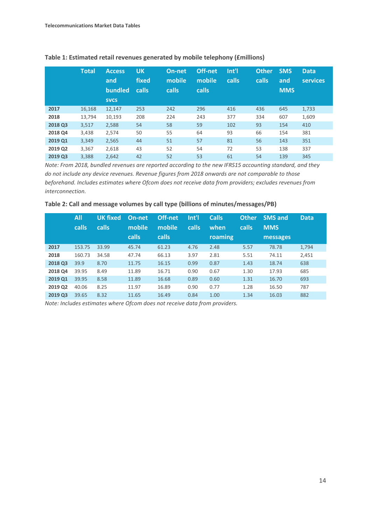|                | <b>Total</b> | <b>Access</b><br>and<br><b>bundled</b><br><b>SVCS</b> | <b>UK</b><br>fixed<br>calls | On-net<br>mobile<br><b>calls</b> | Off-net<br>mobile<br><b>calls</b> | Int'l<br>calls | <b>Other</b><br><b>calls</b> | <b>SMS</b><br>and<br><b>MMS</b> | <b>Data</b><br><b>services</b> |
|----------------|--------------|-------------------------------------------------------|-----------------------------|----------------------------------|-----------------------------------|----------------|------------------------------|---------------------------------|--------------------------------|
| 2017           | 16,168       | 12,147                                                | 253                         | 242                              | 296                               | 416            | 436                          | 645                             | 1,733                          |
| 2018           | 13.794       | 10,193                                                | 208                         | 224                              | 243                               | 377            | 334                          | 607                             | 1,609                          |
| <b>2018 Q3</b> | 3,517        | 2,588                                                 | 54                          | 58                               | 59                                | 102            | 93                           | 154                             | 410                            |
| 2018 Q4        | 3,438        | 2,574                                                 | 50                          | 55                               | 64                                | 93             | 66                           | 154                             | 381                            |
| 2019 Q1        | 3,349        | 2,565                                                 | 44                          | 51                               | 57                                | 81             | 56                           | 143                             | 351                            |
| 2019 Q2        | 3,367        | 2,618                                                 | 43                          | 52                               | 54                                | 72             | 53                           | 138                             | 337                            |
| 2019 Q3        | 3.388        | 2.642                                                 | 42                          | 52                               | 53                                | 61             | 54                           | 139                             | 345                            |

#### **Table 1: Estimated retail revenues generated by mobile telephony (£millions)**

*Note: From 2018, bundled revenues are reported according to the new IFRS15 accounting standard, and they do not include any device revenues. Revenue figures from 2018 onwards are not comparable to those beforehand. Includes estimates where Ofcom does not receive data from providers; excludes revenues from interconnection.* 

#### **Table 2: Call and message volumes by call type (billions of minutes/messages/PB)**

|         | All<br><b>calls</b> | <b>UK fixed</b><br>calls | On-net<br>mobile | Off-net<br>mobile | Int'l<br>calls | <b>Calls</b><br>when | <b>Other</b><br>calls | <b>SMS and</b><br><b>MMS</b> | <b>Data</b> |
|---------|---------------------|--------------------------|------------------|-------------------|----------------|----------------------|-----------------------|------------------------------|-------------|
|         |                     |                          | calls            | <b>calls</b>      |                | roaming              |                       | messages                     |             |
| 2017    | 153.75              | 33.99                    | 45.74            | 61.23             | 4.76           | 2.48                 | 5.57                  | 78.78                        | 1,794       |
| 2018    | 160.73              | 34.58                    | 47.74            | 66.13             | 3.97           | 2.81                 | 5.51                  | 74.11                        | 2,451       |
| 2018 Q3 | 39.9                | 8.70                     | 11.75            | 16.15             | 0.99           | 0.87                 | 1.43                  | 18.74                        | 638         |
| 2018 Q4 | 39.95               | 8.49                     | 11.89            | 16.71             | 0.90           | 0.67                 | 1.30                  | 17.93                        | 685         |
| 2019 Q1 | 39.95               | 8.58                     | 11.89            | 16.68             | 0.89           | 0.60                 | 1.31                  | 16.70                        | 693         |
| 2019 Q2 | 40.06               | 8.25                     | 11.97            | 16.89             | 0.90           | 0.77                 | 1.28                  | 16.50                        | 787         |
| 2019 Q3 | 39.65               | 8.32                     | 11.65            | 16.49             | 0.84           | 1.00                 | 1.34                  | 16.03                        | 882         |

*Note: Includes estimates where Ofcom does not receive data from providers.*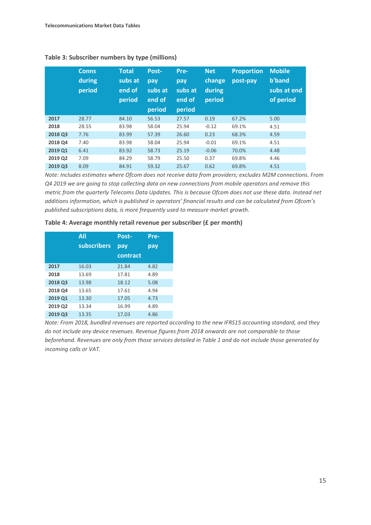|         | <b>Conns</b><br>during<br>period | <b>Total</b><br>subs at<br>end of<br>period | Post-<br>pay<br>subs at<br>end of<br>period | Pre-<br>pay<br>subs at<br>end of<br>period | <b>Net</b><br>change<br>during<br>period | <b>Proportion</b><br>post-pay | <b>Mobile</b><br>b'band<br>subs at end<br>of period |
|---------|----------------------------------|---------------------------------------------|---------------------------------------------|--------------------------------------------|------------------------------------------|-------------------------------|-----------------------------------------------------|
| 2017    | 28.77                            | 84.10                                       | 56.53                                       | 27.57                                      | 0.19                                     | 67.2%                         | 5.00                                                |
| 2018    | 28.55                            | 83.98                                       | 58.04                                       | 25.94                                      | $-0.12$                                  | 69.1%                         | 4.51                                                |
| 2018 Q3 | 7.76                             | 83.99                                       | 57.39                                       | 26.60                                      | 0.23                                     | 68.3%                         | 4.59                                                |
| 2018 Q4 | 7.40                             | 83.98                                       | 58.04                                       | 25.94                                      | $-0.01$                                  | 69.1%                         | 4.51                                                |
| 2019 Q1 | 6.41                             | 83.92                                       | 58.73                                       | 25.19                                      | $-0.06$                                  | 70.0%                         | 4.48                                                |
| 2019 Q2 | 7.09                             | 84.29                                       | 58.79                                       | 25.50                                      | 0.37                                     | 69.8%                         | 4.46                                                |
| 2019 Q3 | 8.09                             | 84.91                                       | 59.32                                       | 25.67                                      | 0.62                                     | 69.8%                         | 4.51                                                |

#### **Table 3: Subscriber numbers by type (millions)**

*Note: Includes estimates where Ofcom does not receive data from providers; excludes M2M connections. From Q4 2019 we are going to stop collecting data on new connections from mobile operators and remove this metric from the quarterly Telecoms Data Updates. This is because Ofcom does not use these data. Instead net additions information, which is published in operators' financial results and can be calculated from Ofcom's published subscriptions data, is more frequently used to measure market growth.*

#### **Table 4: Average monthly retail revenue per subscriber (£ per month)**

|         | <b>All</b>  | Post-    | Pre- |
|---------|-------------|----------|------|
|         | subscribers | pay      | pay  |
|         |             | contract |      |
| 2017    | 16.03       | 21.84    | 4.82 |
| 2018    | 13.69       | 17.81    | 4.89 |
| 2018 Q3 | 13.98       | 18.12    | 5.08 |
| 2018 Q4 | 13.65       | 17.61    | 4.94 |
| 2019 Q1 | 13.30       | 17.05    | 4.73 |
| 2019 Q2 | 13.34       | 16.99    | 4.89 |
| 2019 Q3 | 13.35       | 17.03    | 4.86 |

*Note: From 2018, bundled revenues are reported according to the new IFRS15 accounting standard, and they do not include any device revenues. Revenue figures from 2018 onwards are not comparable to those beforehand. Revenues are only from those services detailed in Table 1 and do not include those generated by incoming calls or VAT.*